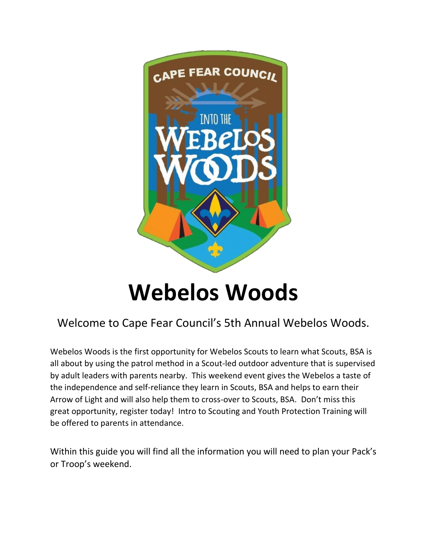

# **Webelos Woods**

# Welcome to Cape Fear Council's 5th Annual Webelos Woods.

Webelos Woods is the first opportunity for Webelos Scouts to learn what Scouts, BSA is all about by using the patrol method in a Scout-led outdoor adventure that is supervised by adult leaders with parents nearby. This weekend event gives the Webelos a taste of the independence and self-reliance they learn in Scouts, BSA and helps to earn their Arrow of Light and will also help them to cross-over to Scouts, BSA. Don't miss this great opportunity, register today! Intro to Scouting and Youth Protection Training will be offered to parents in attendance.

Within this guide you will find all the information you will need to plan your Pack's or Troop's weekend.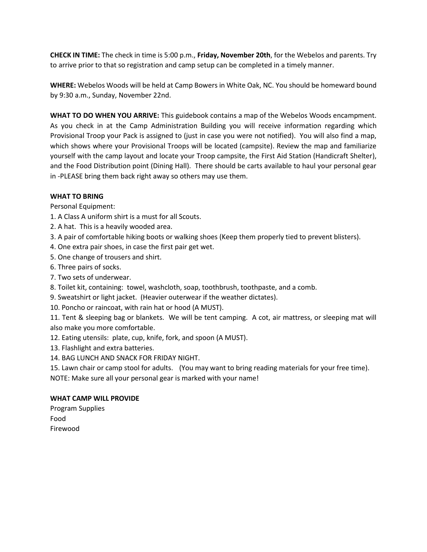**CHECK IN TIME:** The check in time is 5:00 p.m., **Friday, November 20th**, for the Webelos and parents. Try to arrive prior to that so registration and camp setup can be completed in a timely manner.

**WHERE:** Webelos Woods will be held at Camp Bowers in White Oak, NC. You should be homeward bound by 9:30 a.m., Sunday, November 22nd.

WHAT TO DO WHEN YOU ARRIVE: This guidebook contains a map of the Webelos Woods encampment. As you check in at the Camp Administration Building you will receive information regarding which Provisional Troop your Pack is assigned to (just in case you were not notified). You will also find a map, which shows where your Provisional Troops will be located (campsite). Review the map and familiarize yourself with the camp layout and locate your Troop campsite, the First Aid Station (Handicraft Shelter), and the Food Distribution point (Dining Hall). There should be carts available to haul your personal gear in -PLEASE bring them back right away so others may use them.

#### **WHAT TO BRING**

Personal Equipment:

- 1. A Class A uniform shirt is a must for all Scouts.
- 2. A hat. This is a heavily wooded area.
- 3. A pair of comfortable hiking boots or walking shoes (Keep them properly tied to prevent blisters).
- 4. One extra pair shoes, in case the first pair get wet.
- 5. One change of trousers and shirt.
- 6. Three pairs of socks.
- 7. Two sets of underwear.
- 8. Toilet kit, containing: towel, washcloth, soap, toothbrush, toothpaste, and a comb.
- 9. Sweatshirt or light jacket. (Heavier outerwear if the weather dictates).
- 10. Poncho or raincoat, with rain hat or hood (A MUST).

11. Tent & sleeping bag or blankets. We will be tent camping. A cot, air mattress, or sleeping mat will also make you more comfortable.

- 12. Eating utensils: plate, cup, knife, fork, and spoon (A MUST).
- 13. Flashlight and extra batteries.
- 14. BAG LUNCH AND SNACK FOR FRIDAY NIGHT.

15. Lawn chair or camp stool for adults. (You may want to bring reading materials for your free time). NOTE: Make sure all your personal gear is marked with your name!

#### **WHAT CAMP WILL PROVIDE**

Program Supplies Food Firewood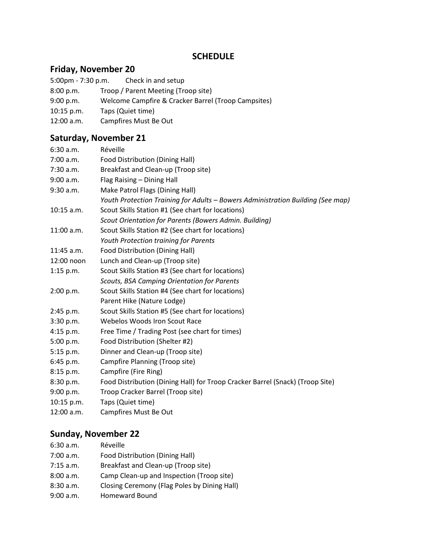#### **SCHEDULE**

#### **Friday, November 20**

- 5:00pm 7:30 p.m. Check in and setup
- 8:00 p.m. Troop / Parent Meeting (Troop site)
- 9:00 p.m. Welcome Campfire & Cracker Barrel (Troop Campsites)
- 10:15 p.m. Taps (Quiet time)
- 12:00 a.m. Campfires Must Be Out

#### **Saturday, November 21**

| 6:30 a.m.                                                         | Réveille                                                                        |  |  |  |  |  |
|-------------------------------------------------------------------|---------------------------------------------------------------------------------|--|--|--|--|--|
| 7:00 a.m.                                                         | Food Distribution (Dining Hall)                                                 |  |  |  |  |  |
| 7:30 a.m.                                                         | Breakfast and Clean-up (Troop site)                                             |  |  |  |  |  |
| 9:00 a.m.                                                         | Flag Raising - Dining Hall                                                      |  |  |  |  |  |
| 9:30 a.m.                                                         | Make Patrol Flags (Dining Hall)                                                 |  |  |  |  |  |
|                                                                   | Youth Protection Training for Adults - Bowers Administration Building (See map) |  |  |  |  |  |
| $10:15$ a.m.                                                      | Scout Skills Station #1 (See chart for locations)                               |  |  |  |  |  |
|                                                                   | Scout Orientation for Parents (Bowers Admin. Building)                          |  |  |  |  |  |
| Scout Skills Station #2 (See chart for locations)<br>$11:00$ a.m. |                                                                                 |  |  |  |  |  |
|                                                                   | Youth Protection training for Parents                                           |  |  |  |  |  |
| $11:45$ a.m.                                                      | Food Distribution (Dining Hall)                                                 |  |  |  |  |  |
| 12:00 noon                                                        | Lunch and Clean-up (Troop site)                                                 |  |  |  |  |  |
| $1:15$ p.m.                                                       | Scout Skills Station #3 (See chart for locations)                               |  |  |  |  |  |
|                                                                   | Scouts, BSA Camping Orientation for Parents                                     |  |  |  |  |  |
| 2:00 p.m.                                                         | Scout Skills Station #4 (See chart for locations)                               |  |  |  |  |  |
|                                                                   | Parent Hike (Nature Lodge)                                                      |  |  |  |  |  |
| 2:45 p.m.                                                         | Scout Skills Station #5 (See chart for locations)                               |  |  |  |  |  |
| 3:30 p.m.                                                         | Webelos Woods Iron Scout Race                                                   |  |  |  |  |  |
| $4:15$ p.m.                                                       | Free Time / Trading Post (see chart for times)                                  |  |  |  |  |  |
| 5:00 p.m.                                                         | Food Distribution (Shelter #2)                                                  |  |  |  |  |  |
| 5:15 p.m.                                                         | Dinner and Clean-up (Troop site)                                                |  |  |  |  |  |
| 6:45 p.m.                                                         | Campfire Planning (Troop site)                                                  |  |  |  |  |  |
| 8:15 p.m.                                                         | Campfire (Fire Ring)                                                            |  |  |  |  |  |
| 8:30 p.m.                                                         | Food Distribution (Dining Hall) for Troop Cracker Barrel (Snack) (Troop Site)   |  |  |  |  |  |
| 9:00 p.m.                                                         | Troop Cracker Barrel (Troop site)                                               |  |  |  |  |  |
| 10:15 p.m.                                                        | Taps (Quiet time)                                                               |  |  |  |  |  |
| 12:00 a.m.                                                        | Campfires Must Be Out                                                           |  |  |  |  |  |

#### **Sunday, November 22**

| 6:30 a.m.   | Réveille                                     |
|-------------|----------------------------------------------|
| 7:00 a.m.   | <b>Food Distribution (Dining Hall)</b>       |
| $7:15$ a.m. | Breakfast and Clean-up (Troop site)          |
| 8:00 a.m.   | Camp Clean-up and Inspection (Troop site)    |
| 8:30 a.m.   | Closing Ceremony (Flag Poles by Dining Hall) |
| 9:00 a.m.   | <b>Homeward Bound</b>                        |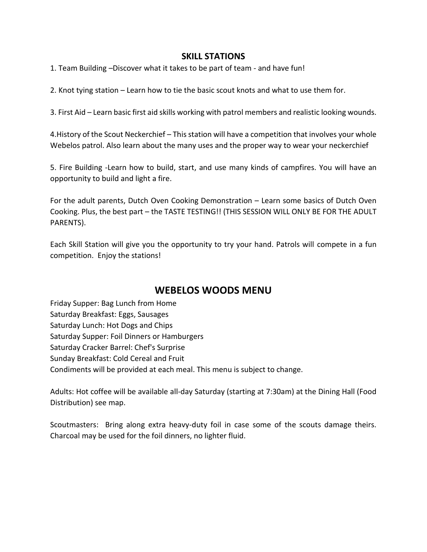#### **SKILL STATIONS**

1. Team Building –Discover what it takes to be part of team - and have fun!

2. Knot tying station – Learn how to tie the basic scout knots and what to use them for.

3. First Aid – Learn basic first aid skills working with patrol members and realistic looking wounds.

4.History of the Scout Neckerchief – This station will have a competition that involves your whole Webelos patrol. Also learn about the many uses and the proper way to wear your neckerchief

5. Fire Building -Learn how to build, start, and use many kinds of campfires. You will have an opportunity to build and light a fire.

For the adult parents, Dutch Oven Cooking Demonstration – Learn some basics of Dutch Oven Cooking. Plus, the best part – the TASTE TESTING!! (THIS SESSION WILL ONLY BE FOR THE ADULT PARENTS).

Each Skill Station will give you the opportunity to try your hand. Patrols will compete in a fun competition. Enjoy the stations!

# **WEBELOS WOODS MENU**

Friday Supper: Bag Lunch from Home Saturday Breakfast: Eggs, Sausages Saturday Lunch: Hot Dogs and Chips Saturday Supper: Foil Dinners or Hamburgers Saturday Cracker Barrel: Chef's Surprise Sunday Breakfast: Cold Cereal and Fruit Condiments will be provided at each meal. This menu is subject to change.

Adults: Hot coffee will be available all-day Saturday (starting at 7:30am) at the Dining Hall (Food Distribution) see map.

Scoutmasters: Bring along extra heavy-duty foil in case some of the scouts damage theirs. Charcoal may be used for the foil dinners, no lighter fluid.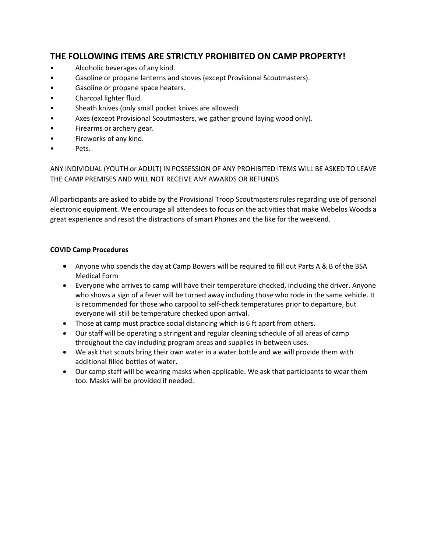### **THE FOLLOWING ITEMS ARE STRICTLY PROHIBITED ON CAMP PROPERTY!**

- Alcoholic beverages of any kind.
- Gasoline or propane lanterns and stoves (except Provisional Scoutmasters).
- Gasoline or propane space heaters.
- Charcoal lighter fluid.
- Sheath knives (only small pocket knives are allowed)
- Axes (except Provisional Scoutmasters, we gather ground laying wood only).
- Firearms or archery gear.
- Fireworks of any kind.
- Pets.

ANY INDIVIDUAL (YOUTH or ADULT) IN POSSESSION OF ANY PROHIBITED ITEMS WILL BE ASKED TO LEAVE THE CAMP PREMISES AND WILL NOT RECEIVE ANY AWARDS OR REFUNDS

All participants are asked to abide by the Provisional Troop Scoutmasters rules regarding use of personal electronic equipment. We encourage all attendees to focus on the activities that make Webelos Woods a great experience and resist the distractions of smart Phones and the like for the weekend.

#### **COVID Camp Procedures**

- Anyone who spends the day at Camp Bowers will be required to fill out Parts A & B of the BSA Medical Form
- Everyone who arrives to camp will have their temperature checked, including the driver. Anyone who shows a sign of a fever will be turned away including those who rode in the same vehicle. It is recommended for those who carpool to self-check temperatures prior to departure, but everyone will still be temperature checked upon arrival.
- Those at camp must practice social distancing which is 6 ft apart from others.
- Our staff will be operating a stringent and regular cleaning schedule of all areas of camp throughout the day including program areas and supplies in-between uses.
- We ask that scouts bring their own water in a water bottle and we will provide them with additional filled bottles of water.
- Our camp staff will be wearing masks when applicable. We ask that participants to wear them too. Masks will be provided if needed.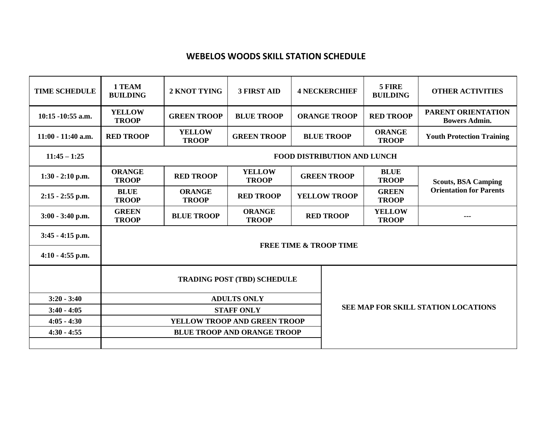## **WEBELOS WOODS SKILL STATION SCHEDULE**

| <b>TIME SCHEDULE</b> | 1 TEAM<br><b>BUILDING</b>          | 2 KNOT TYING                       | <b>3 FIRST AID</b>                         | <b>4 NECKERCHIEF</b> |  | 5 FIRE<br><b>BUILDING</b>     | <b>OTHER ACTIVITIES</b>                    |  |  |  |
|----------------------|------------------------------------|------------------------------------|--------------------------------------------|----------------------|--|-------------------------------|--------------------------------------------|--|--|--|
| 10:15 -10:55 a.m.    | <b>YELLOW</b><br><b>TROOP</b>      | <b>GREEN TROOP</b>                 | <b>BLUE TROOP</b>                          | <b>ORANGE TROOP</b>  |  | <b>RED TROOP</b>              | PARENT ORIENTATION<br><b>Bowers Admin.</b> |  |  |  |
| 11:00 - 11:40 a.m.   | <b>RED TROOP</b>                   | <b>YELLOW</b><br><b>TROOP</b>      | <b>GREEN TROOP</b>                         | <b>BLUE TROOP</b>    |  | <b>ORANGE</b><br><b>TROOP</b> | <b>Youth Protection Training</b>           |  |  |  |
| $11:45 - 1:25$       | <b>FOOD DISTRIBUTION AND LUNCH</b> |                                    |                                            |                      |  |                               |                                            |  |  |  |
| $1:30 - 2:10$ p.m.   | <b>ORANGE</b><br><b>TROOP</b>      | <b>RED TROOP</b>                   | <b>YELLOW</b><br><b>TROOP</b>              | <b>GREEN TROOP</b>   |  | <b>BLUE</b><br><b>TROOP</b>   | <b>Scouts, BSA Camping</b>                 |  |  |  |
| $2:15 - 2:55$ p.m.   | <b>BLUE</b><br><b>TROOP</b>        | <b>ORANGE</b><br><b>TROOP</b>      | <b>RED TROOP</b>                           | <b>YELLOW TROOP</b>  |  | <b>GREEN</b><br><b>TROOP</b>  | <b>Orientation for Parents</b>             |  |  |  |
| 3:00 - 3:40 p.m.     | <b>GREEN</b><br><b>TROOP</b>       | <b>BLUE TROOP</b>                  | <b>ORANGE</b><br><b>TROOP</b>              | <b>RED TROOP</b>     |  | <b>YELLOW</b><br><b>TROOP</b> | $- - -$                                    |  |  |  |
| $3:45 - 4:15$ p.m.   |                                    |                                    |                                            |                      |  |                               |                                            |  |  |  |
| $4:10 - 4:55$ p.m.   | <b>FREE TIME &amp; TROOP TIME</b>  |                                    |                                            |                      |  |                               |                                            |  |  |  |
|                      |                                    | <b>TRADING POST (TBD) SCHEDULE</b> |                                            |                      |  |                               |                                            |  |  |  |
| $3:20 - 3:40$        |                                    | <b>ADULTS ONLY</b>                 |                                            |                      |  |                               |                                            |  |  |  |
| $3:40 - 4:05$        |                                    | <b>STAFF ONLY</b>                  | <b>SEE MAP FOR SKILL STATION LOCATIONS</b> |                      |  |                               |                                            |  |  |  |
| $4:05 - 4:30$        |                                    | YELLOW TROOP AND GREEN TROOP       |                                            |                      |  |                               |                                            |  |  |  |
| $4:30 - 4:55$        |                                    | <b>BLUE TROOP AND ORANGE TROOP</b> |                                            |                      |  |                               |                                            |  |  |  |
|                      |                                    |                                    |                                            |                      |  |                               |                                            |  |  |  |